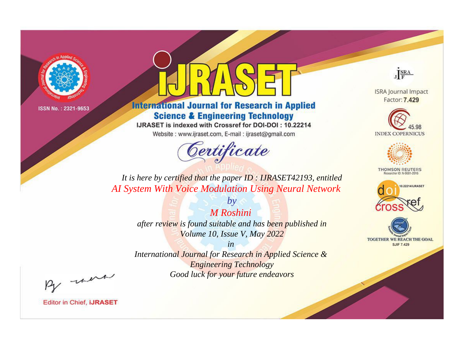

# **International Journal for Research in Applied Science & Engineering Technology**

IJRASET is indexed with Crossref for DOI-DOI: 10.22214

Website: www.ijraset.com, E-mail: ijraset@gmail.com



JERA

**ISRA Journal Impact** Factor: 7.429





**THOMSON REUTERS** 



TOGETHER WE REACH THE GOAL **SJIF 7.429** 

*It is here by certified that the paper ID : IJRASET42193, entitled AI System With Voice Modulation Using Neural Network*

> *M Roshini after review is found suitable and has been published in Volume 10, Issue V, May 2022*

*by*

*in* 

*International Journal for Research in Applied Science & Engineering Technology Good luck for your future endeavors*

By morn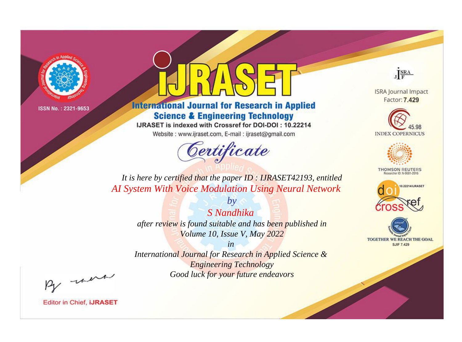

# **International Journal for Research in Applied Science & Engineering Technology**

IJRASET is indexed with Crossref for DOI-DOI: 10.22214

Website: www.ijraset.com, E-mail: ijraset@gmail.com



JERA

**ISRA Journal Impact** Factor: 7.429





**THOMSON REUTERS** 



TOGETHER WE REACH THE GOAL **SJIF 7.429** 

*It is here by certified that the paper ID : IJRASET42193, entitled AI System With Voice Modulation Using Neural Network*

> *S Nandhika after review is found suitable and has been published in Volume 10, Issue V, May 2022*

*by*

*in* 

*International Journal for Research in Applied Science & Engineering Technology Good luck for your future endeavors*

By morn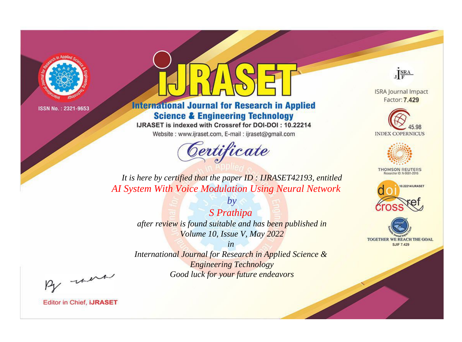

# **International Journal for Research in Applied Science & Engineering Technology**

IJRASET is indexed with Crossref for DOI-DOI: 10.22214

Website: www.ijraset.com, E-mail: ijraset@gmail.com



JERA

**ISRA Journal Impact** Factor: 7.429





**THOMSON REUTERS** 



TOGETHER WE REACH THE GOAL **SJIF 7.429** 

*It is here by certified that the paper ID : IJRASET42193, entitled AI System With Voice Modulation Using Neural Network*

> *S Prathipa after review is found suitable and has been published in Volume 10, Issue V, May 2022*

*by*

*in* 

*International Journal for Research in Applied Science & Engineering Technology Good luck for your future endeavors*

By morn